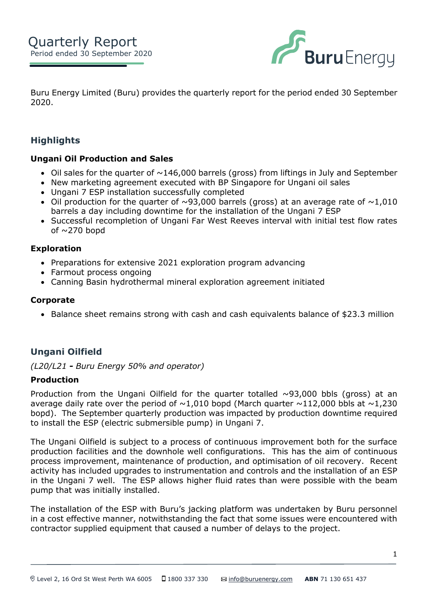

Buru Energy Limited (Buru) provides the quarterly report for the period ended 30 September 2020.

# **Highlights**

# **ASX: BRU Ungani Oil Production and Sales**

- Oil sales for the quarter of  $\sim$ 146,000 barrels (gross) from liftings in July and September
- New marketing agreement executed with BP Singapore for Ungani oil sales
	- Ungani 7 ESP installation successfully completed
	- Oil production for the quarter of  $\sim$ 93,000 barrels (gross) at an average rate of  $\sim$ 1,010 barrels a day including downtime for the installation of the Ungani 7 ESP
	- Successful recompletion of Ungani Far West Reeves interval with initial test flow rates of  $\sim$ 270 bopd

### **Exploration**

- Preparations for extensive 2021 exploration program advancing
- Farmout process ongoing
- Canning Basin hydrothermal mineral exploration agreement initiated

### **Corporate**

• Balance sheet remains strong with cash and cash equivalents balance of \$23.3 million

# **Ungani Oilfield**

*(L20/L21 - Buru Energy 50% and operator)*

### **Production**

Production from the Ungani Oilfield for the quarter totalled  $\sim$ 93,000 bbls (gross) at an average daily rate over the period of  $\sim$ 1,010 bopd (March quarter  $\sim$ 112,000 bbls at  $\sim$ 1,230 bopd). The September quarterly production was impacted by production downtime required to install the ESP (electric submersible pump) in Ungani 7.

The Ungani Oilfield is subject to a process of continuous improvement both for the surface production facilities and the downhole well configurations. This has the aim of continuous process improvement, maintenance of production, and optimisation of oil recovery. Recent activity has included upgrades to instrumentation and controls and the installation of an ESP in the Ungani 7 well. The ESP allows higher fluid rates than were possible with the beam pump that was initially installed.

The installation of the ESP with Buru's jacking platform was undertaken by Buru personnel in a cost effective manner, notwithstanding the fact that some issues were encountered with contractor supplied equipment that caused a number of delays to the project.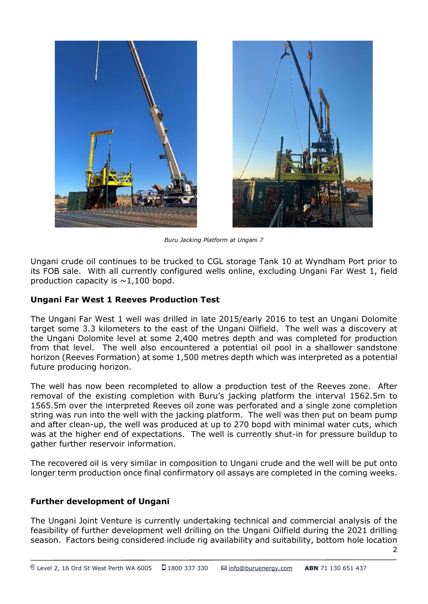



*Buru Jacking Platform at Ungani 7*

Ungani crude oil continues to be trucked to CGL storage Tank 10 at Wyndham Port prior to its FOB sale. With all currently configured wells online, excluding Ungani Far West 1, field production capacity is  $\sim$ 1,100 bopd.

# **Ungani Far West 1 Reeves Production Test**

The Ungani Far West 1 well was drilled in late 2015/early 2016 to test an Ungani Dolomite target some 3.3 kilometers to the east of the Ungani Oilfield. The well was a discovery at the Ungani Dolomite level at some 2,400 metres depth and was completed for production from that level. The well also encountered a potential oil pool in a shallower sandstone horizon (Reeves Formation) at some 1,500 metres depth which was interpreted as a potential future producing horizon.

The well has now been recompleted to allow a production test of the Reeves zone. After removal of the existing completion with Buru's jacking platform the interval 1562.5m to 1565.5m over the interpreted Reeves oil zone was perforated and a single zone completion string was run into the well with the jacking platform. The well was then put on beam pump and after clean-up, the well was produced at up to 270 bopd with minimal water cuts, which was at the higher end of expectations. The well is currently shut-in for pressure buildup to gather further reservoir information.

The recovered oil is very similar in composition to Ungani crude and the well will be put onto longer term production once final confirmatory oil assays are completed in the coming weeks.

# **Further development of Ungani**

The Ungani Joint Venture is currently undertaking technical and commercial analysis of the feasibility of further development well drilling on the Ungani Oilfield during the 2021 drilling season. Factors being considered include rig availability and suitability, bottom hole location

 $\overline{2}$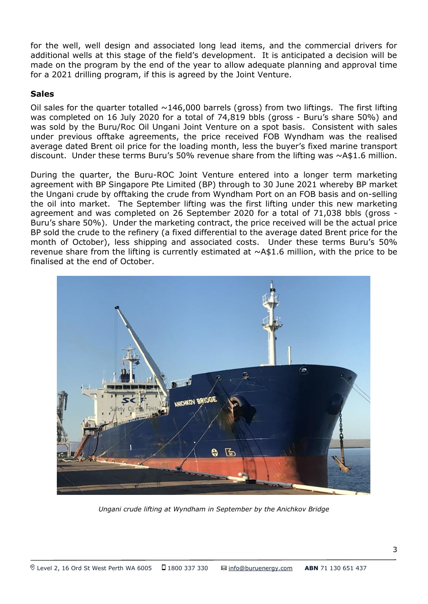for the well, well design and associated long lead items, and the commercial drivers for additional wells at this stage of the field's development. It is anticipated a decision will be made on the program by the end of the year to allow adequate planning and approval time for a 2021 drilling program, if this is agreed by the Joint Venture.

# **Sales**

Oil sales for the quarter totalled  $\sim$  146,000 barrels (gross) from two liftings. The first lifting was completed on 16 July 2020 for a total of 74,819 bbls (gross - Buru's share 50%) and was sold by the Buru/Roc Oil Ungani Joint Venture on a spot basis. Consistent with sales under previous offtake agreements, the price received FOB Wyndham was the realised average dated Brent oil price for the loading month, less the buyer's fixed marine transport discount. Under these terms Buru's 50% revenue share from the lifting was  $\sim$ A\$1.6 million.

During the quarter, the Buru-ROC Joint Venture entered into a longer term marketing agreement with BP Singapore Pte Limited (BP) through to 30 June 2021 whereby BP market the Ungani crude by offtaking the crude from Wyndham Port on an FOB basis and on-selling the oil into market. The September lifting was the first lifting under this new marketing agreement and was completed on 26 September 2020 for a total of 71,038 bbls (gross - Buru's share 50%). Under the marketing contract, the price received will be the actual price BP sold the crude to the refinery (a fixed differential to the average dated Brent price for the month of October), less shipping and associated costs. Under these terms Buru's 50% revenue share from the lifting is currently estimated at  $\sim$ A\$1.6 million, with the price to be finalised at the end of October.



*Ungani crude lifting at Wyndham in September by the Anichkov Bridge*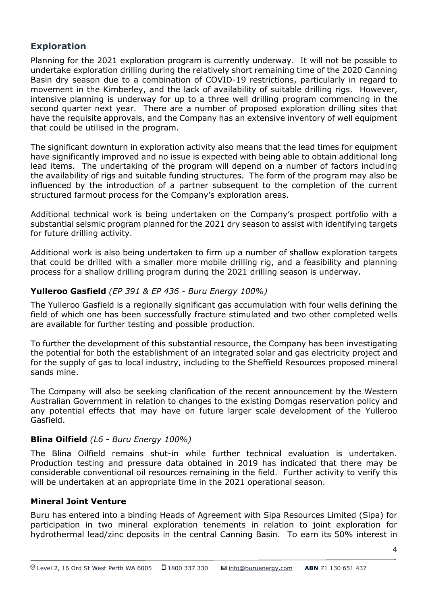# **Exploration**

Planning for the 2021 exploration program is currently underway. It will not be possible to undertake exploration drilling during the relatively short remaining time of the 2020 Canning Basin dry season due to a combination of COVID-19 restrictions, particularly in regard to movement in the Kimberley, and the lack of availability of suitable drilling rigs. However, intensive planning is underway for up to a three well drilling program commencing in the second quarter next year. There are a number of proposed exploration drilling sites that have the requisite approvals, and the Company has an extensive inventory of well equipment that could be utilised in the program.

The significant downturn in exploration activity also means that the lead times for equipment have significantly improved and no issue is expected with being able to obtain additional long lead items. The undertaking of the program will depend on a number of factors including the availability of rigs and suitable funding structures. The form of the program may also be influenced by the introduction of a partner subsequent to the completion of the current structured farmout process for the Company's exploration areas.

Additional technical work is being undertaken on the Company's prospect portfolio with a substantial seismic program planned for the 2021 dry season to assist with identifying targets for future drilling activity.

Additional work is also being undertaken to firm up a number of shallow exploration targets that could be drilled with a smaller more mobile drilling rig, and a feasibility and planning process for a shallow drilling program during the 2021 drilling season is underway.

# **Yulleroo Gasfield** *(EP 391 & EP 436 - Buru Energy 100%)*

The Yulleroo Gasfield is a regionally significant gas accumulation with four wells defining the field of which one has been successfully fracture stimulated and two other completed wells are available for further testing and possible production.

To further the development of this substantial resource, the Company has been investigating the potential for both the establishment of an integrated solar and gas electricity project and for the supply of gas to local industry, including to the Sheffield Resources proposed mineral sands mine.

The Company will also be seeking clarification of the recent announcement by the Western Australian Government in relation to changes to the existing Domgas reservation policy and any potential effects that may have on future larger scale development of the Yulleroo Gasfield.

# **Blina Oilfield** *(L6 - Buru Energy 100%)*

The Blina Oilfield remains shut-in while further technical evaluation is undertaken. Production testing and pressure data obtained in 2019 has indicated that there may be considerable conventional oil resources remaining in the field. Further activity to verify this will be undertaken at an appropriate time in the 2021 operational season.

# **Mineral Joint Venture**

Buru has entered into a binding Heads of Agreement with Sipa Resources Limited (Sipa) for participation in two mineral exploration tenements in relation to joint exploration for hydrothermal lead/zinc deposits in the central Canning Basin.  To earn its 50% interest in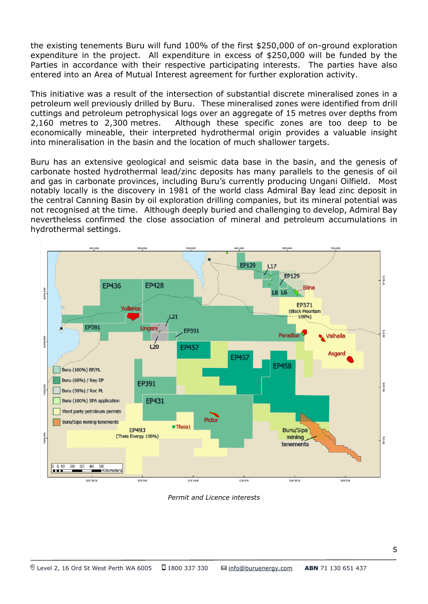the existing tenements Buru will fund 100% of the first \$250,000 of on-ground exploration expenditure in the project. All expenditure in excess of \$250,000 will be funded by the Parties in accordance with their respective participating interests. The parties have also entered into an Area of Mutual Interest agreement for further exploration activity.

This initiative was a result of the intersection of substantial discrete mineralised zones in a petroleum well previously drilled by Buru.  These mineralised zones were identified from drill cuttings and petroleum petrophysical logs over an aggregate of 15 metres over depths from 2,160 metres to 2,300 metres.  Although these specific zones are too deep to be economically mineable, their interpreted hydrothermal origin provides a valuable insight into mineralisation in the basin and the location of much shallower targets. 

Buru has an extensive geological and seismic data base in the basin, and the genesis of carbonate hosted hydrothermal lead/zinc deposits has many parallels to the genesis of oil and gas in carbonate provinces, including Buru's currently producing Ungani Oilfield.  Most notably locally is the discovery in 1981 of the world class Admiral Bay lead zinc deposit in the central Canning Basin by oil exploration drilling companies, but its mineral potential was not recognised at the time.  Although deeply buried and challenging to develop, Admiral Bay nevertheless confirmed the close association of mineral and petroleum accumulations in hydrothermal settings.



*Permit and Licence interests*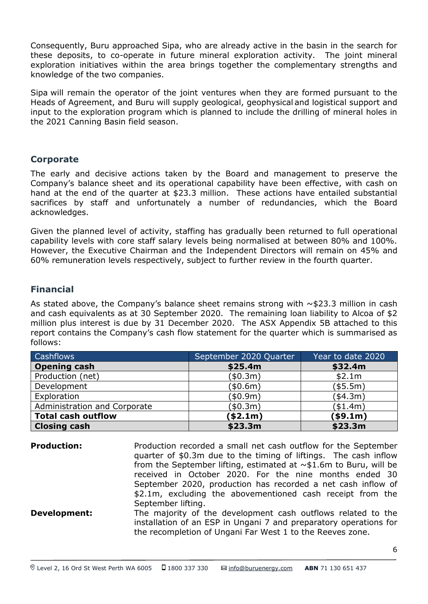Consequently, Buru approached Sipa, who are already active in the basin in the search for these deposits, to co-operate in future mineral exploration activity. The joint mineral exploration initiatives within the area brings together the complementary strengths and knowledge of the two companies.

Sipa will remain the operator of the joint ventures when they are formed pursuant to the Heads of Agreement, and Buru will supply geological, geophysical and logistical support and input to the exploration program which is planned to include the drilling of mineral holes in the 2021 Canning Basin field season.

# **Corporate**

The early and decisive actions taken by the Board and management to preserve the Company's balance sheet and its operational capability have been effective, with cash on hand at the end of the quarter at \$23.3 million. These actions have entailed substantial sacrifices by staff and unfortunately a number of redundancies, which the Board acknowledges.

Given the planned level of activity, staffing has gradually been returned to full operational capability levels with core staff salary levels being normalised at between 80% and 100%. However, the Executive Chairman and the Independent Directors will remain on 45% and 60% remuneration levels respectively, subject to further review in the fourth quarter.

# **Financial**

As stated above, the Company's balance sheet remains strong with  $\sim$ \$23.3 million in cash and cash equivalents as at 30 September 2020. The remaining loan liability to Alcoa of \$2 million plus interest is due by 31 December 2020. The ASX Appendix 5B attached to this report contains the Company's cash flow statement for the quarter which is summarised as follows:

| <b>Cashflows</b>             | September 2020 Quarter | Year to date 2020 |
|------------------------------|------------------------|-------------------|
| <b>Opening cash</b>          | \$25.4m                | \$32.4m           |
| Production (net)             | (\$0.3m)               | \$2.1m            |
| Development                  | (\$0.6m)               | (\$5.5m)          |
| Exploration                  | (\$0.9m)               | (\$4.3m)          |
| Administration and Corporate | (\$0.3m)               | (\$1.4m)          |
| <b>Total cash outflow</b>    | (\$2.1m)               | (\$9.1m)          |
| <b>Closing cash</b>          | \$23.3m                | \$23.3m           |

**Production:** Production recorded a small net cash outflow for the September quarter of \$0.3m due to the timing of liftings. The cash inflow from the September lifting, estimated at  $\sim$ \$1.6m to Buru, will be received in October 2020. For the nine months ended 30 September 2020, production has recorded a net cash inflow of \$2.1m, excluding the abovementioned cash receipt from the September lifting. **Development:** The majority of the development cash outflows related to the installation of an ESP in Ungani 7 and preparatory operations for the recompletion of Ungani Far West 1 to the Reeves zone.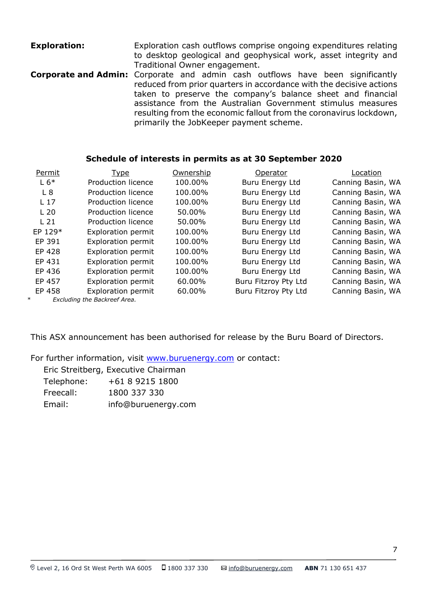**Exploration: Exploration cash outflows comprise ongoing expenditures relating** to desktop geological and geophysical work, asset integrity and Traditional Owner engagement. **Corporate and Admin:** Corporate and admin cash outflows have been significantly reduced from prior quarters in accordance with the decisive actions taken to preserve the company's balance sheet and financial assistance from the Australian Government stimulus measures resulting from the economic fallout from the coronavirus lockdown, primarily the JobKeeper payment scheme.

### **Schedule of interests in permits as at 30 September 2020**

| Permit          | <b>Type</b>                  | Ownership | Operator             | Location          |
|-----------------|------------------------------|-----------|----------------------|-------------------|
| $L 6*$          | Production licence           | 100.00%   | Buru Energy Ltd      | Canning Basin, WA |
| L8              | Production licence           | 100.00%   | Buru Energy Ltd      | Canning Basin, WA |
| L <sub>17</sub> | Production licence           | 100.00%   | Buru Energy Ltd      | Canning Basin, WA |
| L <sub>20</sub> | Production licence           | 50.00%    | Buru Energy Ltd      | Canning Basin, WA |
| L <sub>21</sub> | Production licence           | 50.00%    | Buru Energy Ltd      | Canning Basin, WA |
| EP 129*         | <b>Exploration permit</b>    | 100.00%   | Buru Energy Ltd      | Canning Basin, WA |
| EP 391          | Exploration permit           | 100.00%   | Buru Energy Ltd      | Canning Basin, WA |
| EP 428          | Exploration permit           | 100.00%   | Buru Energy Ltd      | Canning Basin, WA |
| EP 431          | Exploration permit           | 100.00%   | Buru Energy Ltd      | Canning Basin, WA |
| EP 436          | <b>Exploration permit</b>    | 100.00%   | Buru Energy Ltd      | Canning Basin, WA |
| EP 457          | Exploration permit           | 60.00%    | Buru Fitzroy Pty Ltd | Canning Basin, WA |
| EP 458          | Exploration permit           | 60.00%    | Buru Fitzroy Pty Ltd | Canning Basin, WA |
| $\ast$          | Excluding the Backreef Area. |           |                      |                   |

This ASX announcement has been authorised for release by the Buru Board of Directors.

For further information, visit [www.buruenergy.com](http://www.buruenergy.com/) or contact:

|            | Eric Streitberg, Executive Chairman |
|------------|-------------------------------------|
| Telephone: | +61 8 9215 1800                     |
| Freecall:  | 1800 337 330                        |
| Email:     | info@buruenergy.com                 |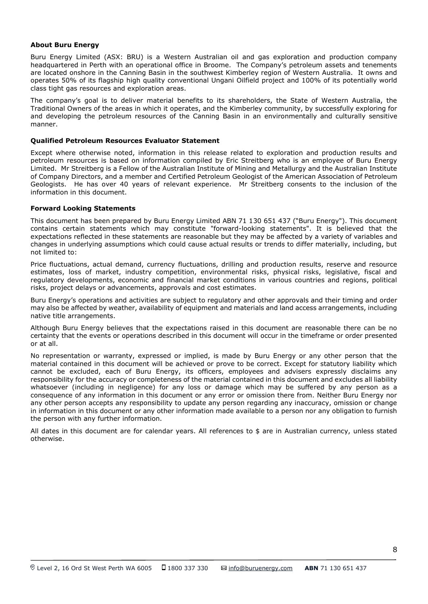#### **About Buru Energy**

Buru Energy Limited (ASX: BRU) is a Western Australian oil and gas exploration and production company headquartered in Perth with an operational office in Broome. The Company's petroleum assets and tenements are located onshore in the Canning Basin in the southwest Kimberley region of Western Australia. It owns and operates 50% of its flagship high quality conventional Ungani Oilfield project and 100% of its potentially world class tight gas resources and exploration areas.

The company's goal is to deliver material benefits to its shareholders, the State of Western Australia, the Traditional Owners of the areas in which it operates, and the Kimberley community, by successfully exploring for and developing the petroleum resources of the Canning Basin in an environmentally and culturally sensitive manner.

#### **Qualified Petroleum Resources Evaluator Statement**

Except where otherwise noted, information in this release related to exploration and production results and petroleum resources is based on information compiled by Eric Streitberg who is an employee of Buru Energy Limited. Mr Streitberg is a Fellow of the Australian Institute of Mining and Metallurgy and the Australian Institute of Company Directors, and a member and Certified Petroleum Geologist of the American Association of Petroleum Geologists. He has over 40 years of relevant experience. Mr Streitberg consents to the inclusion of the information in this document.

#### **Forward Looking Statements**

This document has been prepared by Buru Energy Limited ABN 71 130 651 437 ("Buru Energy"). This document contains certain statements which may constitute "forward-looking statements". It is believed that the expectations reflected in these statements are reasonable but they may be affected by a variety of variables and changes in underlying assumptions which could cause actual results or trends to differ materially, including, but not limited to:

Price fluctuations, actual demand, currency fluctuations, drilling and production results, reserve and resource estimates, loss of market, industry competition, environmental risks, physical risks, legislative, fiscal and regulatory developments, economic and financial market conditions in various countries and regions, political risks, project delays or advancements, approvals and cost estimates.

Buru Energy's operations and activities are subject to regulatory and other approvals and their timing and order may also be affected by weather, availability of equipment and materials and land access arrangements, including native title arrangements.

Although Buru Energy believes that the expectations raised in this document are reasonable there can be no certainty that the events or operations described in this document will occur in the timeframe or order presented or at all.

No representation or warranty, expressed or implied, is made by Buru Energy or any other person that the material contained in this document will be achieved or prove to be correct. Except for statutory liability which cannot be excluded, each of Buru Energy, its officers, employees and advisers expressly disclaims any responsibility for the accuracy or completeness of the material contained in this document and excludes all liability whatsoever (including in negligence) for any loss or damage which may be suffered by any person as a consequence of any information in this document or any error or omission there from. Neither Buru Energy nor any other person accepts any responsibility to update any person regarding any inaccuracy, omission or change in information in this document or any other information made available to a person nor any obligation to furnish the person with any further information.

All dates in this document are for calendar years. All references to \$ are in Australian currency, unless stated otherwise.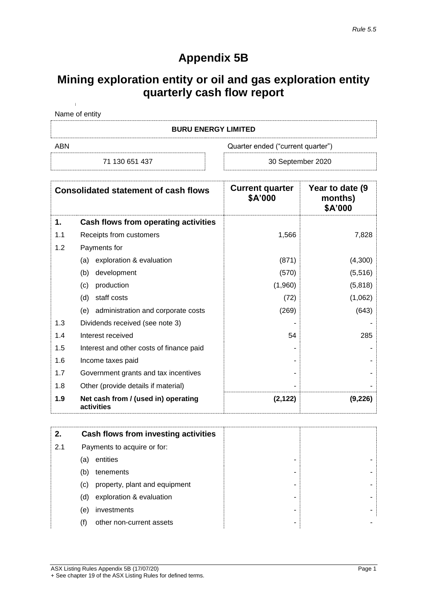# **Appendix 5B**

# **Mining exploration entity or oil and gas exploration entity quarterly cash flow report**

| Name of entity |
|----------------|
| __ ___ _ _ _   |

### **BURU ENERGY LIMITED**

j.

ABN Quarter ended ("current quarter")

71 130 651 437 **30 September 2020** 

|     | <b>Consolidated statement of cash flows</b>       | <b>Current quarter</b><br>\$A'000 | Year to date (9)<br>months)<br>\$A'000 |
|-----|---------------------------------------------------|-----------------------------------|----------------------------------------|
| 1.  | Cash flows from operating activities              |                                   |                                        |
| 1.1 | Receipts from customers                           | 1,566                             | 7,828                                  |
| 1.2 | Payments for                                      |                                   |                                        |
|     | (a) exploration & evaluation                      | (871)                             | (4,300)                                |
|     | development<br>(b)                                | (570)                             | (5, 516)                               |
|     | production<br>(c)                                 | (1,960)                           | (5,818)                                |
|     | staff costs<br>(d)                                | (72)                              | (1,062)                                |
|     | administration and corporate costs<br>(e)         | (269)                             | (643)                                  |
| 1.3 | Dividends received (see note 3)                   |                                   |                                        |
| 1.4 | Interest received                                 | 54                                | 285                                    |
| 1.5 | Interest and other costs of finance paid          |                                   |                                        |
| 1.6 | Income taxes paid                                 |                                   |                                        |
| 1.7 | Government grants and tax incentives              |                                   |                                        |
| 1.8 | Other (provide details if material)               |                                   |                                        |
| 1.9 | Net cash from / (used in) operating<br>activities | (2, 122)                          | (9,226)                                |

| 2.  |     | Cash flows from investing activities |
|-----|-----|--------------------------------------|
| 2.1 |     | Payments to acquire or for:          |
|     | (a) | entities<br>-                        |
|     | (b) | tenements<br>-                       |
|     | (c) | property, plant and equipment<br>-   |
|     | (d) | exploration & evaluation<br>-        |
|     | (e) | investments<br>-                     |
|     | (f) | other non-current assets<br>۰        |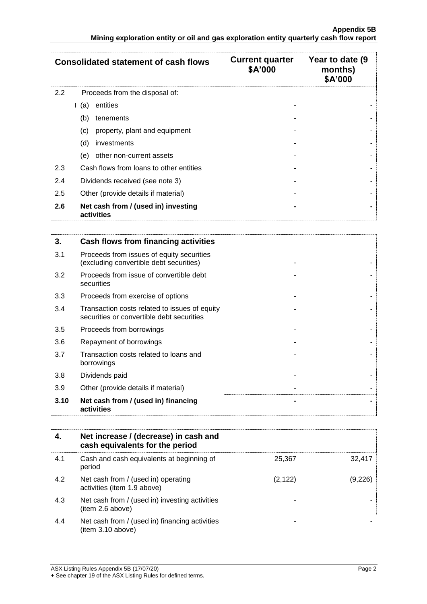|     | <b>Consolidated statement of cash flows</b>       | <b>Current quarter</b><br>\$A'000 | Year to date (9<br>months)<br>\$A'000 |
|-----|---------------------------------------------------|-----------------------------------|---------------------------------------|
| 2.2 | Proceeds from the disposal of:                    |                                   |                                       |
|     | entities<br>(a)                                   |                                   |                                       |
|     | (b)<br>tenements                                  |                                   |                                       |
|     | property, plant and equipment<br>(c)              |                                   |                                       |
|     | (d)<br>investments                                |                                   |                                       |
|     | other non-current assets<br>(e)                   |                                   |                                       |
| 2.3 | Cash flows from loans to other entities           |                                   |                                       |
| 2.4 | Dividends received (see note 3)                   |                                   |                                       |
| 2.5 | Other (provide details if material)               |                                   |                                       |
| 2.6 | Net cash from / (used in) investing<br>activities |                                   |                                       |

| 3.   | Cash flows from financing activities                                                       |  |
|------|--------------------------------------------------------------------------------------------|--|
| 3.1  | Proceeds from issues of equity securities<br>(excluding convertible debt securities)       |  |
| 3.2  | Proceeds from issue of convertible debt<br>securities                                      |  |
| 3.3  | Proceeds from exercise of options                                                          |  |
| 3.4  | Transaction costs related to issues of equity<br>securities or convertible debt securities |  |
| 3.5  | Proceeds from borrowings                                                                   |  |
| 3.6  | Repayment of borrowings                                                                    |  |
| 3.7  | Transaction costs related to loans and<br>borrowings                                       |  |
| 3.8  | Dividends paid                                                                             |  |
| 3.9  | Other (provide details if material)                                                        |  |
| 3.10 | Net cash from / (used in) financing<br>activities                                          |  |

|     | Net increase / (decrease) in cash and<br>cash equivalents for the period |          |         |
|-----|--------------------------------------------------------------------------|----------|---------|
| 4.1 | Cash and cash equivalents at beginning of<br>period                      | 25,367   | 32.417  |
| 4.2 | Net cash from / (used in) operating<br>activities (item 1.9 above)       | (2, 122) | (9.226) |
| 4.3 | Net cash from / (used in) investing activities<br>(item 2.6 above)       |          |         |
| 4.4 | Net cash from / (used in) financing activities<br>item 3.10 above)       |          |         |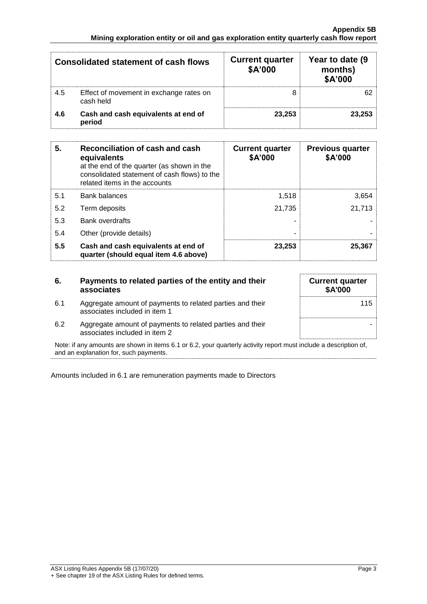|     | <b>Consolidated statement of cash flows</b>          | <b>Current quarter</b><br>\$A'000 | Year to date (9)<br>months)<br>\$A'000 |
|-----|------------------------------------------------------|-----------------------------------|----------------------------------------|
| 4.5 | Effect of movement in exchange rates on<br>cash held |                                   |                                        |
| 4.6 | Cash and cash equivalents at end of<br>period        | 23.253                            | 23.253                                 |

| 5.  | Reconciliation of cash and cash<br>equivalents<br>at the end of the quarter (as shown in the<br>consolidated statement of cash flows) to the<br>related items in the accounts | <b>Current quarter</b><br>\$A'000 | <b>Previous quarter</b><br>\$A'000 |
|-----|-------------------------------------------------------------------------------------------------------------------------------------------------------------------------------|-----------------------------------|------------------------------------|
| 5.1 | <b>Bank balances</b>                                                                                                                                                          | 1.518                             | 3.654                              |
| 5.2 | Term deposits                                                                                                                                                                 | 21.735                            | 21,713                             |
| 5.3 | <b>Bank overdrafts</b>                                                                                                                                                        |                                   |                                    |
| 5.4 | Other (provide details)                                                                                                                                                       | -                                 |                                    |
| 5.5 | Cash and cash equivalents at end of<br>quarter (should equal item 4.6 above)                                                                                                  | 23,253                            | 25.367                             |

| 6.  | Payments to related parties of the entity and their<br>associates                          | <b>Current quarter</b><br><b>\$A'000</b> |
|-----|--------------------------------------------------------------------------------------------|------------------------------------------|
| 6.1 | Aggregate amount of payments to related parties and their<br>associates included in item 1 | 115                                      |
| 6.2 | Aggregate amount of payments to related parties and their<br>associates included in item 2 |                                          |

Note: if any amounts are shown in items 6.1 or 6.2, your quarterly activity report must include a description of, and an explanation for, such payments.

Amounts included in 6.1 are remuneration payments made to Directors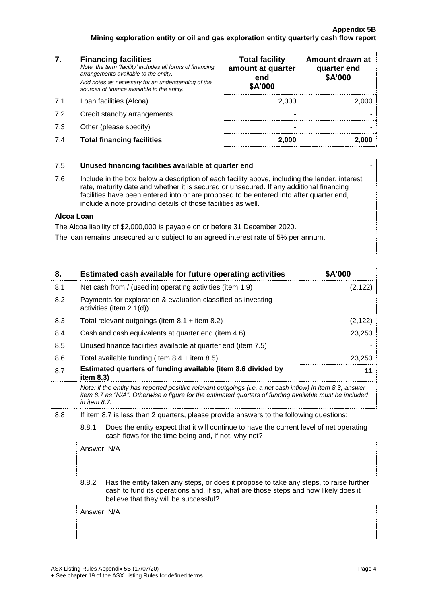| 7.  | <b>Financing facilities</b><br>Note: the term "facility' includes all forms of financing<br>arrangements available to the entity.<br>Add notes as necessary for an understanding of the<br>sources of finance available to the entity.                                                                                                               | <b>Total facility</b><br>amount at quarter<br>end<br>\$A'000 | Amount drawn at<br>quarter end<br>\$A'000 |  |
|-----|------------------------------------------------------------------------------------------------------------------------------------------------------------------------------------------------------------------------------------------------------------------------------------------------------------------------------------------------------|--------------------------------------------------------------|-------------------------------------------|--|
| 7.1 | Loan facilities (Alcoa)                                                                                                                                                                                                                                                                                                                              | 2,000                                                        | 2,000                                     |  |
| 7.2 | Credit standby arrangements                                                                                                                                                                                                                                                                                                                          |                                                              |                                           |  |
| 7.3 | Other (please specify)                                                                                                                                                                                                                                                                                                                               |                                                              |                                           |  |
| 7.4 | <b>Total financing facilities</b>                                                                                                                                                                                                                                                                                                                    | 2,000                                                        | 2,000                                     |  |
|     |                                                                                                                                                                                                                                                                                                                                                      |                                                              |                                           |  |
| 7.5 | Unused financing facilities available at quarter end                                                                                                                                                                                                                                                                                                 |                                                              |                                           |  |
| 7.6 | Include in the box below a description of each facility above, including the lender, interest<br>rate, maturity date and whether it is secured or unsecured. If any additional financing<br>facilities have been entered into or are proposed to be entered into after quarter end,<br>include a note providing details of those facilities as well. |                                                              |                                           |  |

#### **Alcoa Loan**

The Alcoa liability of \$2,000,000 is payable on or before 31 December 2020.

The loan remains unsecured and subject to an agreed interest rate of 5% per annum.

| 8.                                                                                                                                                                                                                                                        | Estimated cash available for future operating activities                                                                                                                                                                            | \$A'000  |
|-----------------------------------------------------------------------------------------------------------------------------------------------------------------------------------------------------------------------------------------------------------|-------------------------------------------------------------------------------------------------------------------------------------------------------------------------------------------------------------------------------------|----------|
| 8.1                                                                                                                                                                                                                                                       | Net cash from / (used in) operating activities (item 1.9)                                                                                                                                                                           | (2, 122) |
| 8.2                                                                                                                                                                                                                                                       | Payments for exploration & evaluation classified as investing<br>activities (item 2.1(d))                                                                                                                                           |          |
| 8.3                                                                                                                                                                                                                                                       | Total relevant outgoings (item $8.1$ + item $8.2$ )                                                                                                                                                                                 | (2, 122) |
| 8.4                                                                                                                                                                                                                                                       | Cash and cash equivalents at quarter end (item 4.6)                                                                                                                                                                                 | 23,253   |
| 8.5                                                                                                                                                                                                                                                       | Unused finance facilities available at quarter end (item 7.5)                                                                                                                                                                       |          |
| 8.6                                                                                                                                                                                                                                                       | Total available funding (item $8.4 +$ item $8.5$ )                                                                                                                                                                                  | 23,253   |
| 8.7                                                                                                                                                                                                                                                       | Estimated quarters of funding available (item 8.6 divided by<br>11<br>item $8.3$ )                                                                                                                                                  |          |
|                                                                                                                                                                                                                                                           | Note: if the entity has reported positive relevant outgoings (i.e. a net cash inflow) in item 8.3, answer<br>item 8.7 as "N/A". Otherwise a figure for the estimated quarters of funding available must be included<br>in item 8.7. |          |
| 8.8<br>If item 8.7 is less than 2 quarters, please provide answers to the following questions:<br>8.8.1<br>Does the entity expect that it will continue to have the current level of net operating<br>cash flows for the time being and, if not, why not? |                                                                                                                                                                                                                                     |          |
|                                                                                                                                                                                                                                                           |                                                                                                                                                                                                                                     |          |

Answer: N/A

#### 8.8.2 Has the entity taken any steps, or does it propose to take any steps, to raise further cash to fund its operations and, if so, what are those steps and how likely does it believe that they will be successful?

Answer: N/A